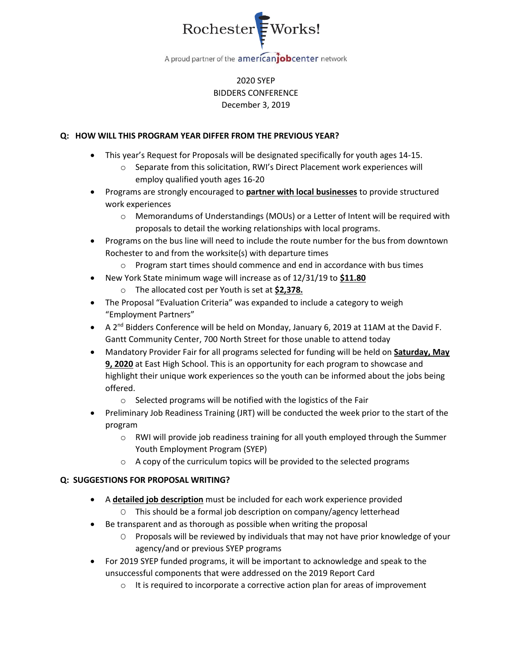

2020 SYEP BIDDERS CONFERENCE December 3, 2019

#### **Q: HOW WILL THIS PROGRAM YEAR DIFFER FROM THE PREVIOUS YEAR?**

- This year's Request for Proposals will be designated specifically for youth ages 14-15.
	- o Separate from this solicitation, RWI's Direct Placement work experiences will employ qualified youth ages 16-20
- Programs are strongly encouraged to **partner with local businesses** to provide structured work experiences
	- o Memorandums of Understandings (MOUs) or a Letter of Intent will be required with proposals to detail the working relationships with local programs.
- Programs on the bus line will need to include the route number for the bus from downtown Rochester to and from the worksite(s) with departure times
	- o Program start times should commence and end in accordance with bus times
- New York State minimum wage will increase as of 12/31/19 to **\$11.80**
	- o The allocated cost per Youth is set at **\$2,378.**
- The Proposal "Evaluation Criteria" was expanded to include a category to weigh "Employment Partners"
- A 2<sup>nd</sup> Bidders Conference will be held on Monday, January 6, 2019 at 11AM at the David F. Gantt Community Center, 700 North Street for those unable to attend today
- Mandatory Provider Fair for all programs selected for funding will be held on **Saturday, May 9, 2020** at East High School. This is an opportunity for each program to showcase and highlight their unique work experiences so the youth can be informed about the jobs being offered.
	- o Selected programs will be notified with the logistics of the Fair
- Preliminary Job Readiness Training (JRT) will be conducted the week prior to the start of the program
	- o RWI will provide job readiness training for all youth employed through the Summer Youth Employment Program (SYEP)
	- o A copy of the curriculum topics will be provided to the selected programs

### **Q: SUGGESTIONS FOR PROPOSAL WRITING?**

- A **detailed job description** must be included for each work experience provided
	- O This should be a formal job description on company/agency letterhead
- Be transparent and as thorough as possible when writing the proposal
	- O Proposals will be reviewed by individuals that may not have prior knowledge of your agency/and or previous SYEP programs
- For 2019 SYEP funded programs, it will be important to acknowledge and speak to the unsuccessful components that were addressed on the 2019 Report Card
	- o It is required to incorporate a corrective action plan for areas of improvement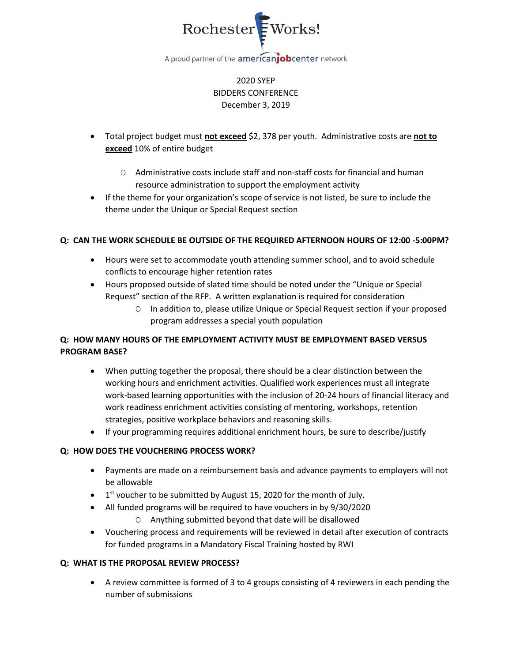

2020 SYEP BIDDERS CONFERENCE December 3, 2019

- Total project budget must **not exceed** \$2, 378 per youth. Administrative costs are **not to exceed** 10% of entire budget
	- O Administrative costs include staff and non-staff costs for financial and human resource administration to support the employment activity
- If the theme for your organization's scope of service is not listed, be sure to include the theme under the Unique or Special Request section

#### **Q: CAN THE WORK SCHEDULE BE OUTSIDE OF THE REQUIRED AFTERNOON HOURS OF 12:00 -5:00PM?**

- Hours were set to accommodate youth attending summer school, and to avoid schedule conflicts to encourage higher retention rates
- Hours proposed outside of slated time should be noted under the "Unique or Special Request" section of the RFP. A written explanation is required for consideration
	- O In addition to, please utilize Unique or Special Request section if your proposed program addresses a special youth population

# **Q: HOW MANY HOURS OF THE EMPLOYMENT ACTIVITY MUST BE EMPLOYMENT BASED VERSUS PROGRAM BASE?**

- When putting together the proposal, there should be a clear distinction between the working hours and enrichment activities. Qualified work experiences must all integrate work-based learning opportunities with the inclusion of 20-24 hours of financial literacy and work readiness enrichment activities consisting of mentoring, workshops, retention strategies, positive workplace behaviors and reasoning skills.
- If your programming requires additional enrichment hours, be sure to describe/justify

### **Q: HOW DOES THE VOUCHERING PROCESS WORK?**

- Payments are made on a reimbursement basis and advance payments to employers will not be allowable
- $\bullet$  1<sup>st</sup> voucher to be submitted by August 15, 2020 for the month of July.
- All funded programs will be required to have vouchers in by 9/30/2020
	- O Anything submitted beyond that date will be disallowed
- Vouchering process and requirements will be reviewed in detail after execution of contracts for funded programs in a Mandatory Fiscal Training hosted by RWI

#### **Q: WHAT IS THE PROPOSAL REVIEW PROCESS?**

• A review committee is formed of 3 to 4 groups consisting of 4 reviewers in each pending the number of submissions